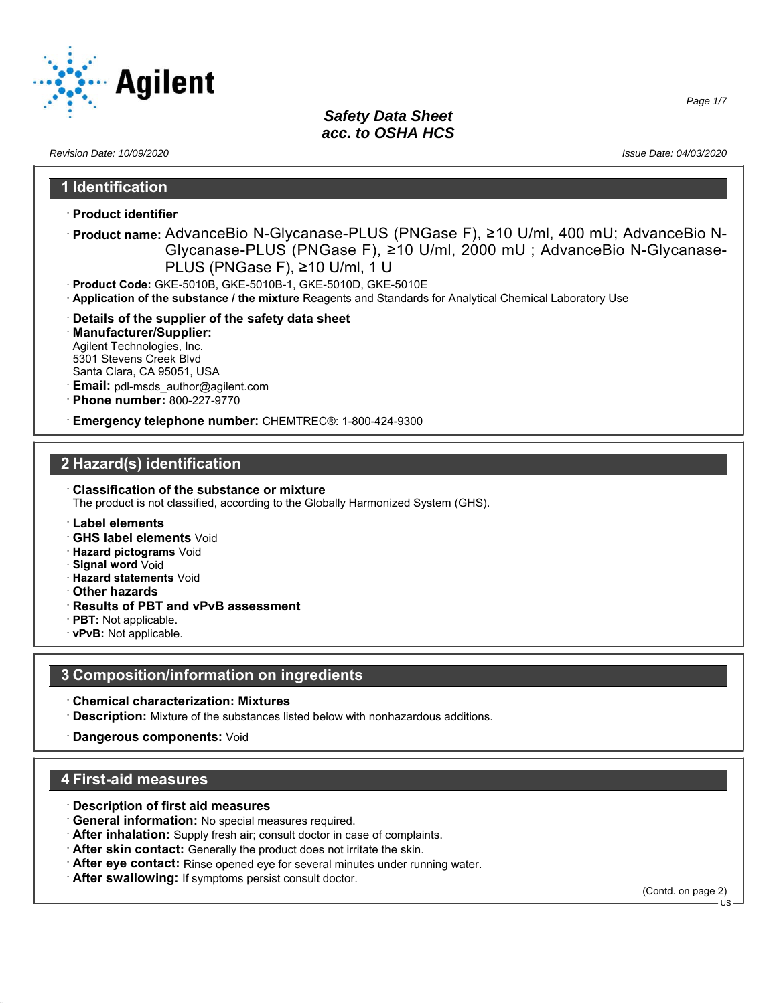

*Revision Date: 10/09/2020 Issue Date: 04/03/2020*

*Page 1/7*

### **1 Identification**

- · **Product identifier**
- · **Product name:** AdvanceBio N-Glycanase-PLUS (PNGase F), ≥10 U/ml, 400 mU; AdvanceBio N-Glycanase-PLUS (PNGase F), ≥10 U/ml, 2000 mU ; AdvanceBio N-Glycanase-PLUS (PNGase F), ≥10 U/ml, 1 U
- · **Product Code:** GKE-5010B, GKE-5010B-1, GKE-5010D, GKE-5010E
- · **Application of the substance / the mixture** Reagents and Standards for Analytical Chemical Laboratory Use
- · **Details of the supplier of the safety data sheet**
- · **Manufacturer/Supplier:** Agilent Technologies, Inc. 5301 Stevens Creek Blvd Santa Clara, CA 95051, USA
- · **Email:** pdl-msds\_author@agilent.com
- · **Phone number:** 800-227-9770
- · **Emergency telephone number:** CHEMTREC®: 1-800-424-9300

## **2 Hazard(s) identification**

- · **Classification of the substance or mixture** The product is not classified, according to the Globally Harmonized System (GHS).
- · **Label elements**
- · **GHS label elements** Void
- · **Hazard pictograms** Void
- · **Signal word** Void
- · **Hazard statements** Void
- · **Other hazards**
- · **Results of PBT and vPvB assessment**
- · **PBT:** Not applicable.
- · **vPvB:** Not applicable.

### **3 Composition/information on ingredients**

- · **Chemical characterization: Mixtures**
- · **Description:** Mixture of the substances listed below with nonhazardous additions.
- · **Dangerous components:** Void

### **4 First-aid measures**

- · **Description of first aid measures**
- · **General information:** No special measures required.
- · **After inhalation:** Supply fresh air; consult doctor in case of complaints.
- · **After skin contact:** Generally the product does not irritate the skin.
- · **After eye contact:** Rinse opened eye for several minutes under running water.
- · **After swallowing:** If symptoms persist consult doctor.

(Contd. on page 2)

US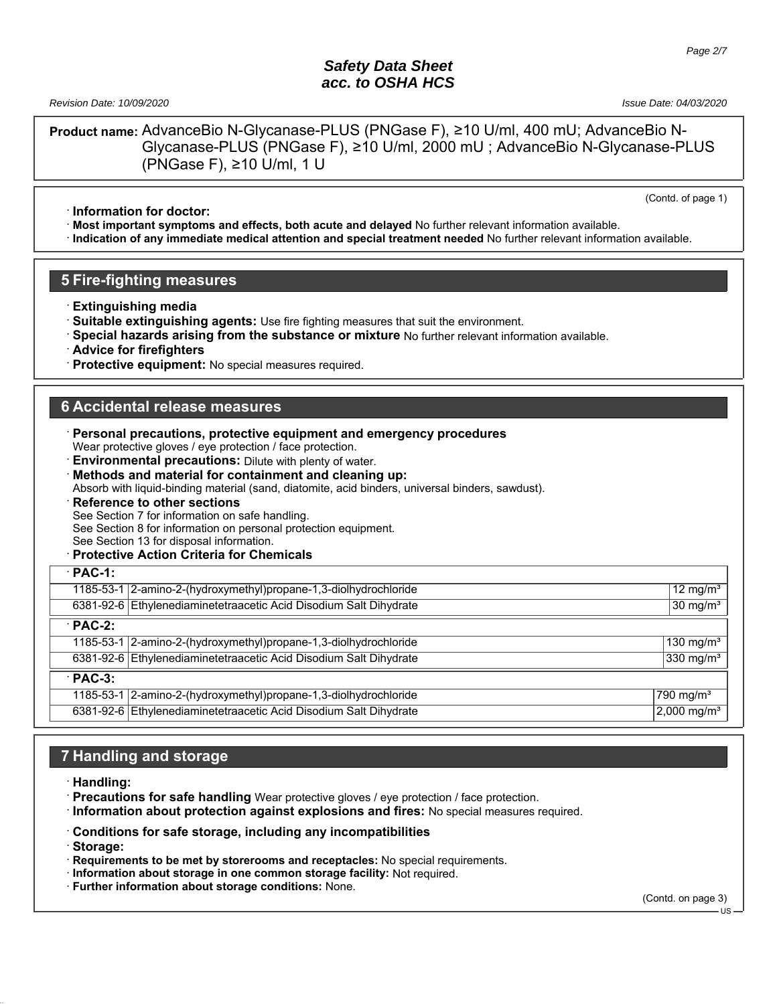*Revision Date: 10/09/2020 Issue Date: 04/03/2020*

(Contd. of page 1)

**Product name:** AdvanceBio N-Glycanase-PLUS (PNGase F), ≥10 U/ml, 400 mU; AdvanceBio N-Glycanase-PLUS (PNGase F), ≥10 U/ml, 2000 mU ; AdvanceBio N-Glycanase-PLUS (PNGase F), ≥10 U/ml, 1 U

· **Information for doctor:**

· **Most important symptoms and effects, both acute and delayed** No further relevant information available.

· **Indication of any immediate medical attention and special treatment needed** No further relevant information available.

#### **5 Fire-fighting measures**

- · **Extinguishing media**
- · **Suitable extinguishing agents:** Use fire fighting measures that suit the environment.
- · **Special hazards arising from the substance or mixture** No further relevant information available.

· **Advice for firefighters**

**Protective equipment:** No special measures required.

#### **6 Accidental release measures**

| $\cdot$ Personal precautions, protective equipment and emergency procedures<br>Wear protective gloves / eye protection / face protection.<br><b>Environmental precautions:</b> Dilute with plenty of water.<br>Methods and material for containment and cleaning up:<br>Absorb with liquid-binding material (sand, diatomite, acid binders, universal binders, sawdust).<br><b>Reference to other sections</b><br>See Section 7 for information on safe handling.<br>See Section 8 for information on personal protection equipment.<br>See Section 13 for disposal information.<br><b>Protective Action Criteria for Chemicals</b> |                           |
|-------------------------------------------------------------------------------------------------------------------------------------------------------------------------------------------------------------------------------------------------------------------------------------------------------------------------------------------------------------------------------------------------------------------------------------------------------------------------------------------------------------------------------------------------------------------------------------------------------------------------------------|---------------------------|
| $\cdot$ PAC-1:                                                                                                                                                                                                                                                                                                                                                                                                                                                                                                                                                                                                                      |                           |
| 1185-53-1 2-amino-2-(hydroxymethyl) propane-1, 3-diolhydrochloride                                                                                                                                                                                                                                                                                                                                                                                                                                                                                                                                                                  | 12 mg/m <sup>3</sup>      |
| 6381-92-6 Ethylenediaminetetraacetic Acid Disodium Salt Dihydrate                                                                                                                                                                                                                                                                                                                                                                                                                                                                                                                                                                   | $30 \text{ mg/m}^3$       |
| $\cdot$ PAC-2:                                                                                                                                                                                                                                                                                                                                                                                                                                                                                                                                                                                                                      |                           |
| 1185-53-1   2-amino-2-(hydroxymethyl) propane-1, 3-diolhydrochloride                                                                                                                                                                                                                                                                                                                                                                                                                                                                                                                                                                | 130 mg/m <sup>3</sup>     |
| 6381-92-6 Ethylenediaminetetraacetic Acid Disodium Salt Dihydrate                                                                                                                                                                                                                                                                                                                                                                                                                                                                                                                                                                   | 330 mg/m <sup>3</sup>     |
| $PAC-3$ :                                                                                                                                                                                                                                                                                                                                                                                                                                                                                                                                                                                                                           |                           |
| 1185-53-1   2-amino-2-(hydroxymethyl) propane-1, 3-diolhy drochloride                                                                                                                                                                                                                                                                                                                                                                                                                                                                                                                                                               | 790 mg/m <sup>3</sup>     |
| 6381-92-6 Ethylenediaminetetraacetic Acid Disodium Salt Dihydrate                                                                                                                                                                                                                                                                                                                                                                                                                                                                                                                                                                   | $2,000 \,\mathrm{mg/m^3}$ |

## **7 Handling and storage**

- · **Handling:**
- · **Precautions for safe handling** Wear protective gloves / eye protection / face protection.
- · **Information about protection against explosions and fires:** No special measures required.
- · **Conditions for safe storage, including any incompatibilities**
- · **Storage:**
- · **Requirements to be met by storerooms and receptacles:** No special requirements.
- · **Information about storage in one common storage facility:** Not required.
- · **Further information about storage conditions:** None.

(Contd. on page 3) US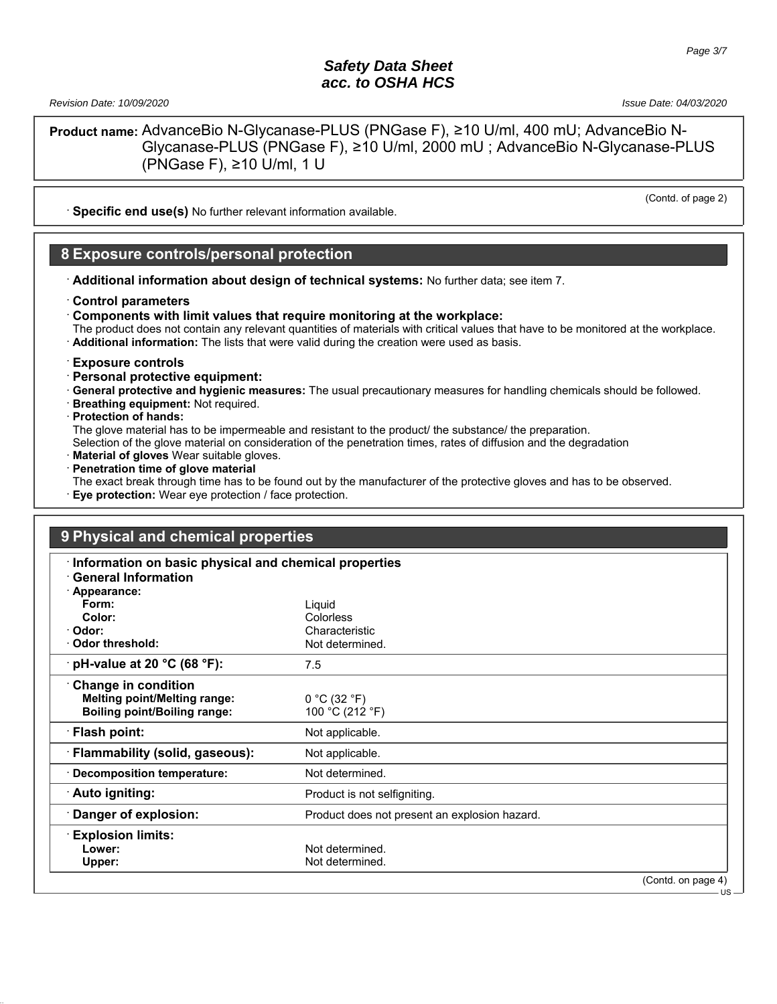*Revision Date: 10/09/2020 Issue Date: 04/03/2020*

(Contd. of page 2)

US

**Product name:** AdvanceBio N-Glycanase-PLUS (PNGase F), ≥10 U/ml, 400 mU; AdvanceBio N-Glycanase-PLUS (PNGase F), ≥10 U/ml, 2000 mU ; AdvanceBio N-Glycanase-PLUS (PNGase F), ≥10 U/ml, 1 U

**Specific end use(s)** No further relevant information available.

#### **8 Exposure controls/personal protection**

- · **Additional information about design of technical systems:** No further data; see item 7.
- · **Control parameters**
- · **Components with limit values that require monitoring at the workplace:**
- The product does not contain any relevant quantities of materials with critical values that have to be monitored at the workplace.
- · **Additional information:** The lists that were valid during the creation were used as basis.

#### · **Exposure controls**

- · **Personal protective equipment:**
- · **General protective and hygienic measures:** The usual precautionary measures for handling chemicals should be followed.
- · **Breathing equipment:** Not required.
- · **Protection of hands:**
- The glove material has to be impermeable and resistant to the product/ the substance/ the preparation.
- Selection of the glove material on consideration of the penetration times, rates of diffusion and the degradation
- **Material of gloves** Wear suitable gloves.
- · **Penetration time of glove material**
- The exact break through time has to be found out by the manufacturer of the protective gloves and has to be observed.
- **Eye protection:** Wear eye protection / face protection.

# **9 Physical and chemical properties**

| Information on basic physical and chemical properties<br><b>General Information</b> |                                               |                    |
|-------------------------------------------------------------------------------------|-----------------------------------------------|--------------------|
| · Appearance:                                                                       |                                               |                    |
| Form:                                                                               | Liquid                                        |                    |
| Color:                                                                              | Colorless                                     |                    |
| · Odor:                                                                             | Characteristic                                |                    |
| $\cdot$ Odor threshold:                                                             | Not determined.                               |                    |
| pH-value at 20 $^{\circ}$ C (68 $^{\circ}$ F):                                      | 7.5                                           |                    |
| <b>Change in condition</b>                                                          |                                               |                    |
| <b>Melting point/Melting range:</b>                                                 | 0 °C (32 °F)                                  |                    |
| <b>Boiling point/Boiling range:</b>                                                 | 100 °C (212 °F)                               |                    |
| <b>Flash point:</b>                                                                 | Not applicable.                               |                    |
| <b>Flammability (solid, gaseous):</b>                                               | Not applicable.                               |                    |
| $\cdot$ Decomposition temperature:                                                  | Not determined.                               |                    |
| Auto igniting:                                                                      | Product is not selfigniting.                  |                    |
| Danger of explosion:                                                                | Product does not present an explosion hazard. |                    |
| <b>Explosion limits:</b>                                                            |                                               |                    |
| Lower:                                                                              | Not determined.                               |                    |
| Upper:                                                                              | Not determined.                               |                    |
|                                                                                     |                                               | (Contd. on page 4) |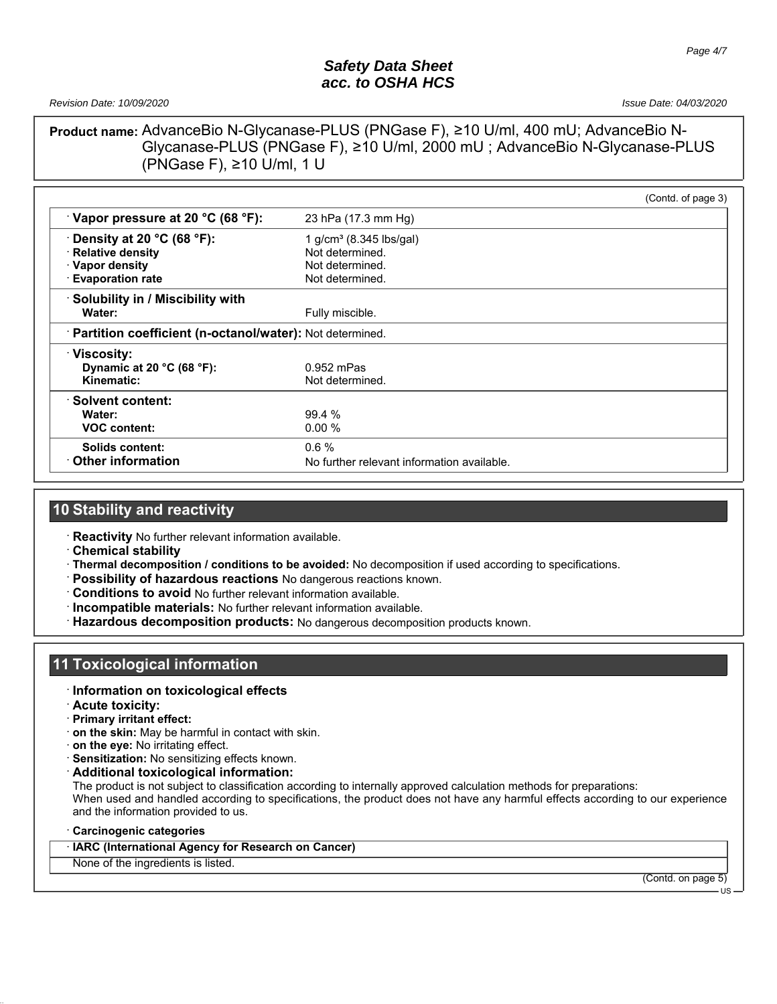*Revision Date: 10/09/2020 Issue Date: 04/03/2020*

#### **Product name:** AdvanceBio N-Glycanase-PLUS (PNGase F), ≥10 U/ml, 400 mU; AdvanceBio N-Glycanase-PLUS (PNGase F), ≥10 U/ml, 2000 mU ; AdvanceBio N-Glycanase-PLUS (PNGase F), ≥10 U/ml, 1 U

|                                                            |                                            | (Contd. of page 3) |
|------------------------------------------------------------|--------------------------------------------|--------------------|
| Vapor pressure at 20 °C (68 °F):                           | 23 hPa (17.3 mm Hg)                        |                    |
| $\cdot$ Density at 20 °C (68 °F):                          | 1 g/cm <sup>3</sup> (8.345 lbs/gal)        |                    |
| · Relative density                                         | Not determined.                            |                    |
| · Vapor density                                            | Not determined.                            |                    |
| · Evaporation rate                                         | Not determined.                            |                    |
| Solubility in / Miscibility with                           |                                            |                    |
| Water:                                                     | Fully miscible.                            |                    |
| · Partition coefficient (n-octanol/water): Not determined. |                                            |                    |
| <b>Viscosity:</b>                                          |                                            |                    |
| Dynamic at 20 °C (68 °F):                                  | $0.952$ mPas                               |                    |
| Kinematic:                                                 | Not determined.                            |                    |
| ∴Solvent content:                                          |                                            |                    |
| Water:                                                     | 99.4 %                                     |                    |
| <b>VOC content:</b>                                        | 0.00%                                      |                    |
| Solids content:                                            | 0.6%                                       |                    |
| $\cdot$ Other information                                  | No further relevant information available. |                    |

#### **10 Stability and reactivity**

· **Reactivity** No further relevant information available.

- · **Chemical stability**
- · **Thermal decomposition / conditions to be avoided:** No decomposition if used according to specifications.
- · **Possibility of hazardous reactions** No dangerous reactions known.
- · **Conditions to avoid** No further relevant information available.
- · **Incompatible materials:** No further relevant information available.
- · **Hazardous decomposition products:** No dangerous decomposition products known.

# **11 Toxicological information**

#### · **Information on toxicological effects**

- · **Acute toxicity:**
- · **Primary irritant effect:**
- · **on the skin:** May be harmful in contact with skin.
- · **on the eye:** No irritating effect.
- · **Sensitization:** No sensitizing effects known.
- · **Additional toxicological information:**

The product is not subject to classification according to internally approved calculation methods for preparations: When used and handled according to specifications, the product does not have any harmful effects according to our experience and the information provided to us.

#### · **Carcinogenic categories**

#### · **IARC (International Agency for Research on Cancer)**

None of the ingredients is listed.

(Contd. on page 5)

US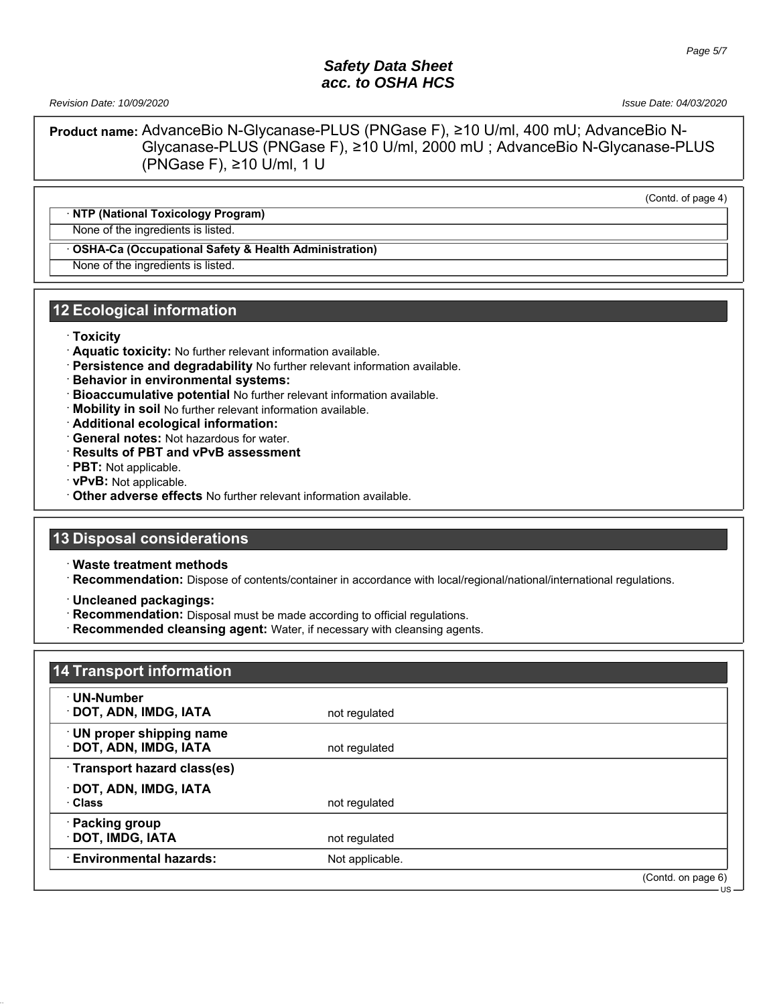*Revision Date: 10/09/2020 Issue Date: 04/03/2020*

**Product name:** AdvanceBio N-Glycanase-PLUS (PNGase F), ≥10 U/ml, 400 mU; AdvanceBio N-Glycanase-PLUS (PNGase F), ≥10 U/ml, 2000 mU ; AdvanceBio N-Glycanase-PLUS (PNGase F), ≥10 U/ml, 1 U

(Contd. of page 4)

#### · **NTP (National Toxicology Program)**

None of the ingredients is listed.

#### · **OSHA-Ca (Occupational Safety & Health Administration)**

None of the ingredients is listed.

#### **12 Ecological information**

- · **Toxicity**
- · **Aquatic toxicity:** No further relevant information available.
- · **Persistence and degradability** No further relevant information available.
- · **Behavior in environmental systems:**
- · **Bioaccumulative potential** No further relevant information available.
- · **Mobility in soil** No further relevant information available.
- · **Additional ecological information:**
- · **General notes:** Not hazardous for water.
- · **Results of PBT and vPvB assessment**
- · **PBT:** Not applicable.
- · **vPvB:** Not applicable.
- · **Other adverse effects** No further relevant information available.

#### **13 Disposal considerations**

· **Waste treatment methods**

· **Recommendation:** Dispose of contents/container in accordance with local/regional/national/international regulations.

· **Uncleaned packagings:**

- · **Recommendation:** Disposal must be made according to official regulations.
- · **Recommended cleansing agent:** Water, if necessary with cleansing agents.

| ∙ UN-Number                   |                 |                    |
|-------------------------------|-----------------|--------------------|
| DOT, ADN, IMDG, IATA          | not regulated   |                    |
| UN proper shipping name       |                 |                    |
| DOT, ADN, IMDG, IATA          | not regulated   |                    |
| Transport hazard class(es)    |                 |                    |
| DOT, ADN, IMDG, IATA          |                 |                    |
| · Class                       | not regulated   |                    |
| · Packing group               |                 |                    |
| DOT, IMDG, IATA               | not regulated   |                    |
| <b>Environmental hazards:</b> | Not applicable. |                    |
|                               |                 | (Contd. on page 6) |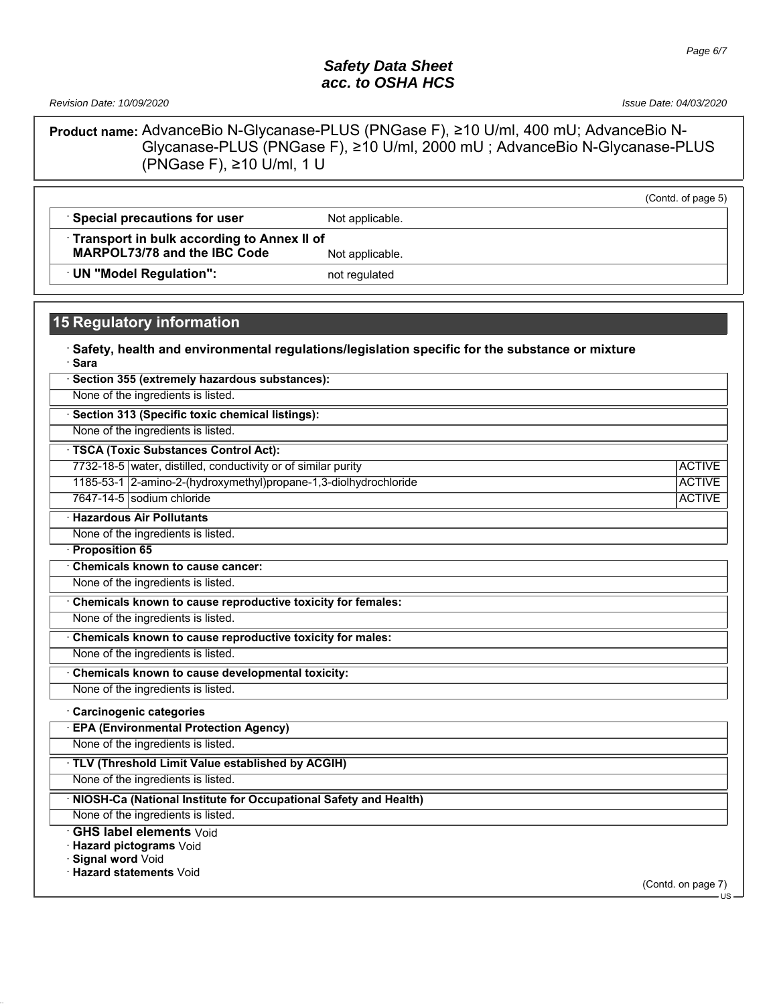*Revision Date: 10/09/2020 Issue Date: 04/03/2020*

**Product name:** AdvanceBio N-Glycanase-PLUS (PNGase F), ≥10 U/ml, 400 mU; AdvanceBio N-Glycanase-PLUS (PNGase F), ≥10 U/ml, 2000 mU ; AdvanceBio N-Glycanase-PLUS (PNGase F),  $≥10$  U/ml, 1 U

|                                            |                 | (Contd. of page 5) |
|--------------------------------------------|-----------------|--------------------|
| Special precautions for user               | Not applicable. |                    |
| Transport in bulk according to Annex II of |                 |                    |
| MARPOL73/78 and the IBC Code               | Not applicable. |                    |
| UN "Model Regulation":                     | not regulated   |                    |

# **15 Regulatory information**

| Safety, health and environmental regulations/legislation specific for the substance or mixture<br>· Sara |               |
|----------------------------------------------------------------------------------------------------------|---------------|
| Section 355 (extremely hazardous substances):                                                            |               |
| None of the ingredients is listed.                                                                       |               |
| Section 313 (Specific toxic chemical listings):                                                          |               |
| None of the ingredients is listed.                                                                       |               |
| <b>TSCA (Toxic Substances Control Act):</b>                                                              |               |
| 7732-18-5 water, distilled, conductivity or of similar purity                                            | <b>ACTIVE</b> |
| 1185-53-1 2-amino-2-(hydroxymethyl)propane-1,3-diolhydrochloride                                         | <b>ACTIVE</b> |
| 7647-14-5 sodium chloride                                                                                | <b>ACTIVE</b> |
| <b>Hazardous Air Pollutants</b>                                                                          |               |
| None of the ingredients is listed.                                                                       |               |
| Proposition 65                                                                                           |               |
| Chemicals known to cause cancer:                                                                         |               |
| None of the ingredients is listed.                                                                       |               |
| Chemicals known to cause reproductive toxicity for females:                                              |               |
| None of the ingredients is listed.                                                                       |               |
| Chemicals known to cause reproductive toxicity for males:                                                |               |
| None of the ingredients is listed.                                                                       |               |
| Chemicals known to cause developmental toxicity:                                                         |               |
| None of the ingredients is listed.                                                                       |               |
| Carcinogenic categories                                                                                  |               |
| <b>EPA (Environmental Protection Agency)</b>                                                             |               |
| None of the ingredients is listed.                                                                       |               |
| TLV (Threshold Limit Value established by ACGIH)                                                         |               |
| None of the ingredients is listed.                                                                       |               |
| NIOSH-Ca (National Institute for Occupational Safety and Health)                                         |               |
| None of the ingredients is listed.                                                                       |               |
| <b>GHS label elements Void</b><br><b>Hazard pictograms</b> Void                                          |               |

· **Signal word** Void

· **Hazard statements** Void

(Contd. on page 7) US